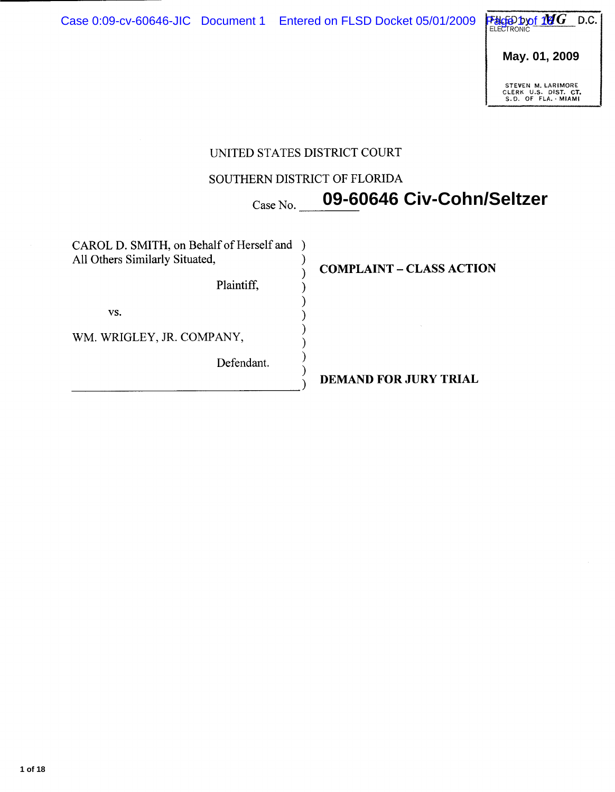**May. 01, 2009**

STEVEN M. LARIMORE<br>CLERK U.S. DIST. CT.<br>S.D. OF FLA. MIAMI

# UNITED STATES DISTRICT COURT

# SOUTHERN DISTRICT OF FLORIDA

**09-60646 Civ-Cohn/Seltzer**

| CAROL D. SMITH, on Behalf of Herself and<br>All Others Similarly Situated, | <b>COMPLAINT - CLASS ACTION</b> |  |
|----------------------------------------------------------------------------|---------------------------------|--|
| Plaintiff,                                                                 |                                 |  |
| VS.                                                                        |                                 |  |
| WM. WRIGLEY, JR. COMPANY,                                                  |                                 |  |
| Defendant.                                                                 |                                 |  |
|                                                                            | <b>DEMAND FOR JURY TRIAL</b>    |  |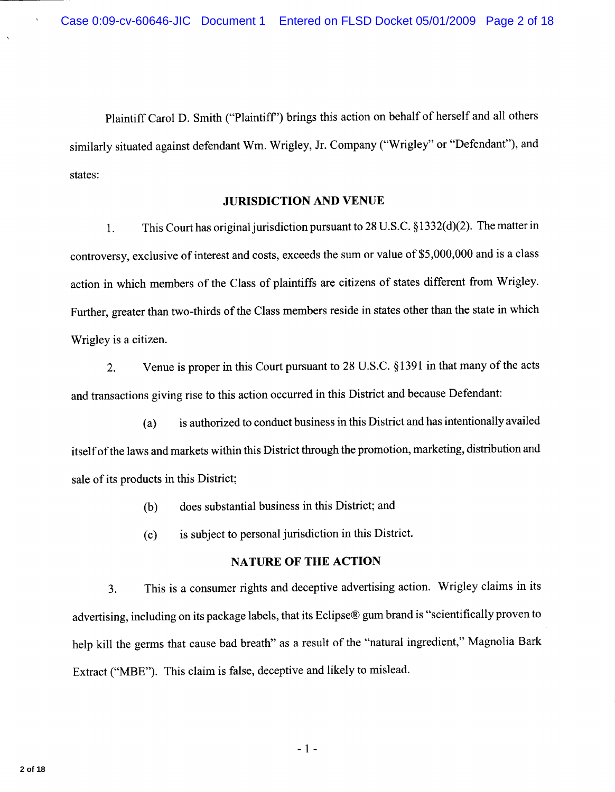Plaintiff Carol D. Smith ("Plaintiff") brings this action on behalf of herself and all others similarly situated against defendant Wm. Wrigley, Jr. Company ("Wrigley" or "Defendant"), and states:

### **JURISDICTION AND VENUE**

This Court has original jurisdiction pursuant to 28 U.S.C. §1332(d)(2). The matter in 1. controversy, exclusive of interest and costs, exceeds the sum or value of \$5,000,000 and is a class action in which members of the Class of plaintiffs are citizens of states different from Wrigley. Further, greater than two-thirds of the Class members reside in states other than the state in which Wrigley is a citizen.

Venue is proper in this Court pursuant to 28 U.S.C. §1391 in that many of the acts  $2.$ and transactions giving rise to this action occurred in this District and because Defendant:

is authorized to conduct business in this District and has intentionally availed  $(a)$ itself of the laws and markets within this District through the promotion, marketing, distribution and sale of its products in this District;

- does substantial business in this District; and  $(b)$
- is subject to personal jurisdiction in this District.  $(c)$

## **NATURE OF THE ACTION**

This is a consumer rights and deceptive advertising action. Wrigley claims in its  $3<sub>1</sub>$ advertising, including on its package labels, that its Eclipse® gum brand is "scientifically proven to help kill the germs that cause bad breath" as a result of the "natural ingredient," Magnolia Bark Extract ("MBE"). This claim is false, deceptive and likely to mislead.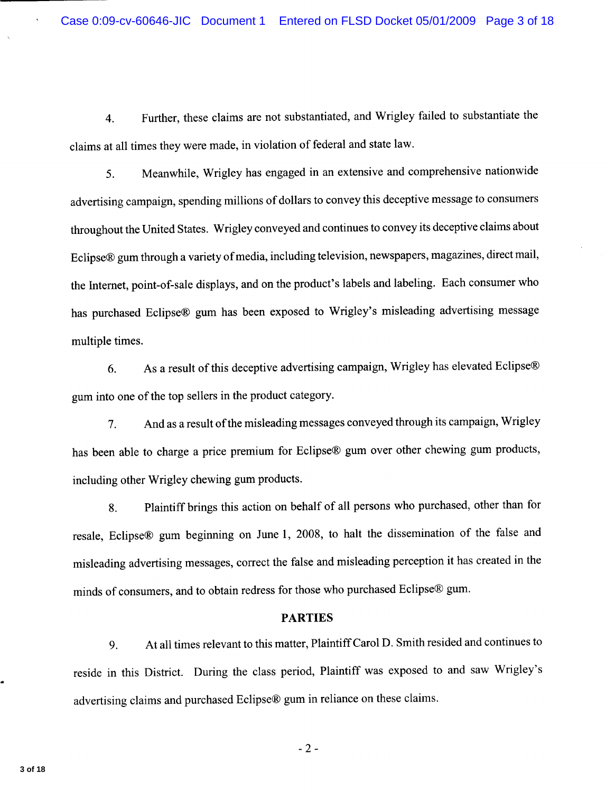Further, these claims are not substantiated, and Wrigley failed to substantiate the  $\overline{4}$ . claims at all times they were made, in violation of federal and state law.

Meanwhile, Wrigley has engaged in an extensive and comprehensive nationwide 5. advertising campaign, spending millions of dollars to convey this deceptive message to consumers throughout the United States. Wrigley conveyed and continues to convey its deceptive claims about Eclipse® gum through a variety of media, including television, newspapers, magazines, direct mail, the Internet, point-of-sale displays, and on the product's labels and labeling. Each consumer who has purchased Eclipse® gum has been exposed to Wrigley's misleading advertising message multiple times.

As a result of this deceptive advertising campaign, Wrigley has elevated Eclipse® 6. gum into one of the top sellers in the product category.

And as a result of the misleading messages conveyed through its campaign, Wrigley  $7.$ has been able to charge a price premium for Eclipse® gum over other chewing gum products, including other Wrigley chewing gum products.

Plaintiff brings this action on behalf of all persons who purchased, other than for 8. resale, Eclipse® gum beginning on June 1, 2008, to halt the dissemination of the false and misleading advertising messages, correct the false and misleading perception it has created in the minds of consumers, and to obtain redress for those who purchased Eclipse® gum.

#### **PARTIES**

At all times relevant to this matter, Plaintiff Carol D. Smith resided and continues to 9. reside in this District. During the class period, Plaintiff was exposed to and saw Wrigley's advertising claims and purchased Eclipse® gum in reliance on these claims.

 $-2-$ 

3 of 18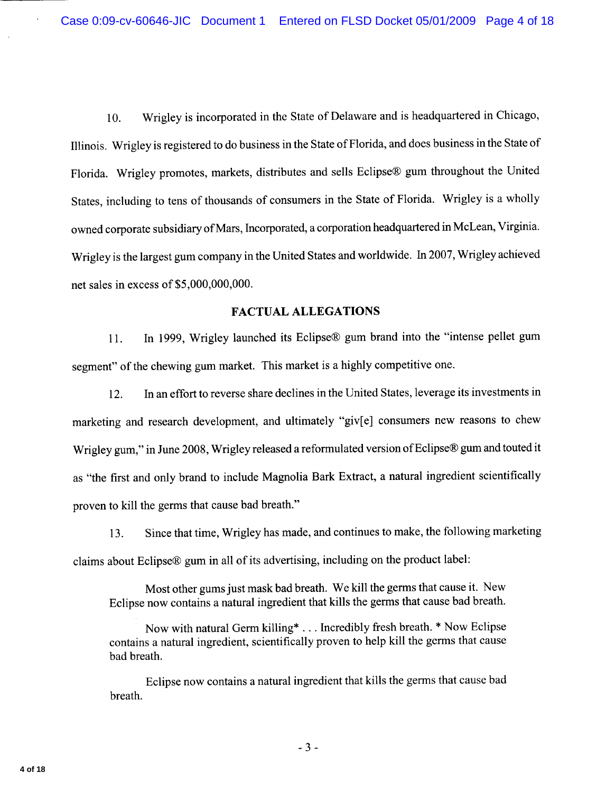Wrigley is incorporated in the State of Delaware and is headquartered in Chicago, 10. Illinois. Wrigley is registered to do business in the State of Florida, and does business in the State of Florida. Wrigley promotes, markets, distributes and sells Eclipse® gum throughout the United States, including to tens of thousands of consumers in the State of Florida. Wrigley is a wholly owned corporate subsidiary of Mars, Incorporated, a corporation headquartered in McLean, Virginia. Wrigley is the largest gum company in the United States and worldwide. In 2007, Wrigley achieved net sales in excess of \$5,000,000,000.

### **FACTUAL ALLEGATIONS**

In 1999, Wrigley launched its Eclipse® gum brand into the "intense pellet gum  $11.$ segment" of the chewing gum market. This market is a highly competitive one.

In an effort to reverse share declines in the United States, leverage its investments in  $12.$ marketing and research development, and ultimately "giv[e] consumers new reasons to chew Wrigley gum," in June 2008, Wrigley released a reformulated version of Eclipse® gum and touted it as "the first and only brand to include Magnolia Bark Extract, a natural ingredient scientifically proven to kill the germs that cause bad breath."

Since that time, Wrigley has made, and continues to make, the following marketing 13. claims about Eclipse® gum in all of its advertising, including on the product label:

Most other gums just mask bad breath. We kill the germs that cause it. New Eclipse now contains a natural ingredient that kills the germs that cause bad breath.

Now with natural Germ killing\* . . . Incredibly fresh breath. \* Now Eclipse contains a natural ingredient, scientifically proven to help kill the germs that cause bad breath.

Eclipse now contains a natural ingredient that kills the germs that cause bad breath.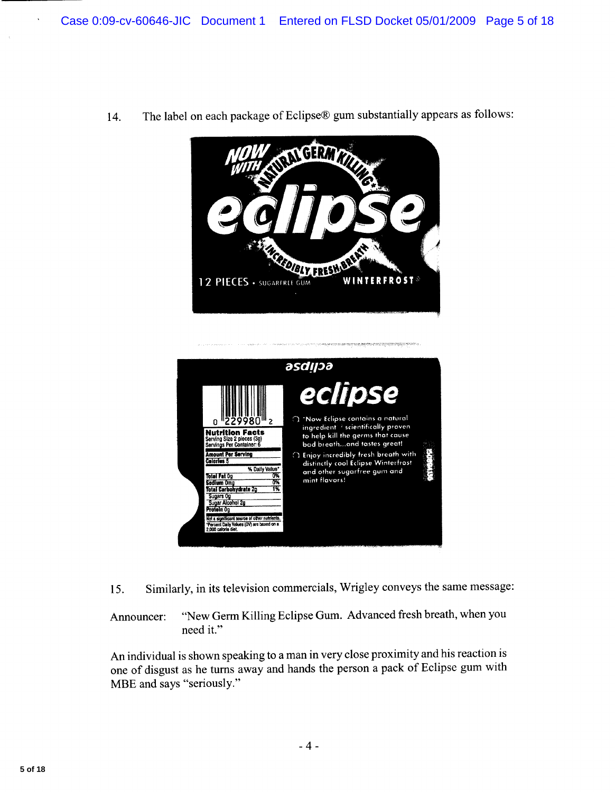

The label on each package of Eclipse® gum substantially appears as follows: 14.



Similarly, in its television commercials, Wrigley conveys the same message: 15.

"New Germ Killing Eclipse Gum. Advanced fresh breath, when you Announcer: need it."

An individual is shown speaking to a man in very close proximity and his reaction is one of disgust as he turns away and hands the person a pack of Eclipse gum with MBE and says "seriously."

 $\ddot{\phantom{1}}$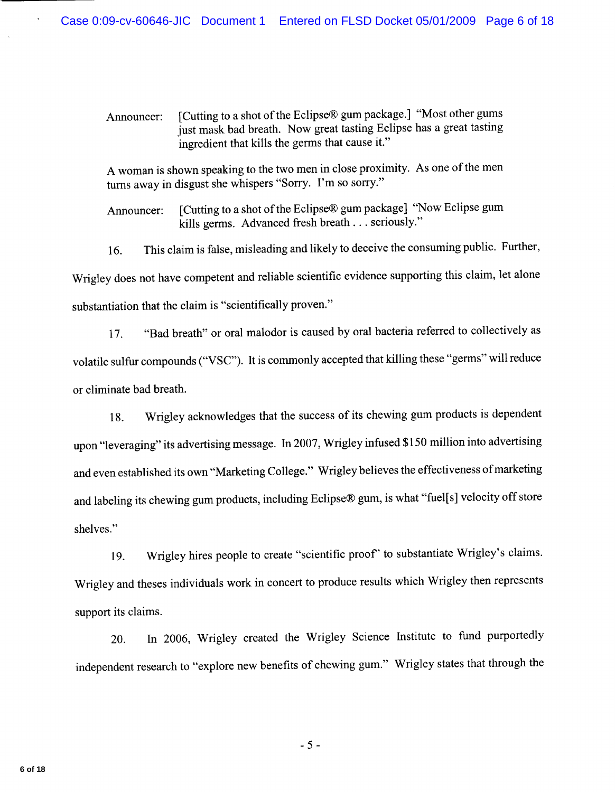[Cutting to a shot of the Eclipse® gum package.] "Most other gums Announcer: just mask bad breath. Now great tasting Eclipse has a great tasting ingredient that kills the germs that cause it."

A woman is shown speaking to the two men in close proximity. As one of the men turns away in disgust she whispers "Sorry. I'm so sorry."

[Cutting to a shot of the Eclipse® gum package] "Now Eclipse gum Announcer: kills germs. Advanced fresh breath . . . seriously."

This claim is false, misleading and likely to deceive the consuming public. Further, 16. Wrigley does not have competent and reliable scientific evidence supporting this claim, let alone substantiation that the claim is "scientifically proven."

"Bad breath" or oral malodor is caused by oral bacteria referred to collectively as  $17.$ volatile sulfur compounds ("VSC"). It is commonly accepted that killing these "germs" will reduce or eliminate bad breath.

Wrigley acknowledges that the success of its chewing gum products is dependent 18. upon "leveraging" its advertising message. In 2007, Wrigley infused \$150 million into advertising and even established its own "Marketing College." Wrigley believes the effectiveness of marketing and labeling its chewing gum products, including Eclipse® gum, is what "fuel[s] velocity off store shelves."

Wrigley hires people to create "scientific proof" to substantiate Wrigley's claims. 19. Wrigley and theses individuals work in concert to produce results which Wrigley then represents support its claims.

In 2006, Wrigley created the Wrigley Science Institute to fund purportedly 20. independent research to "explore new benefits of chewing gum." Wrigley states that through the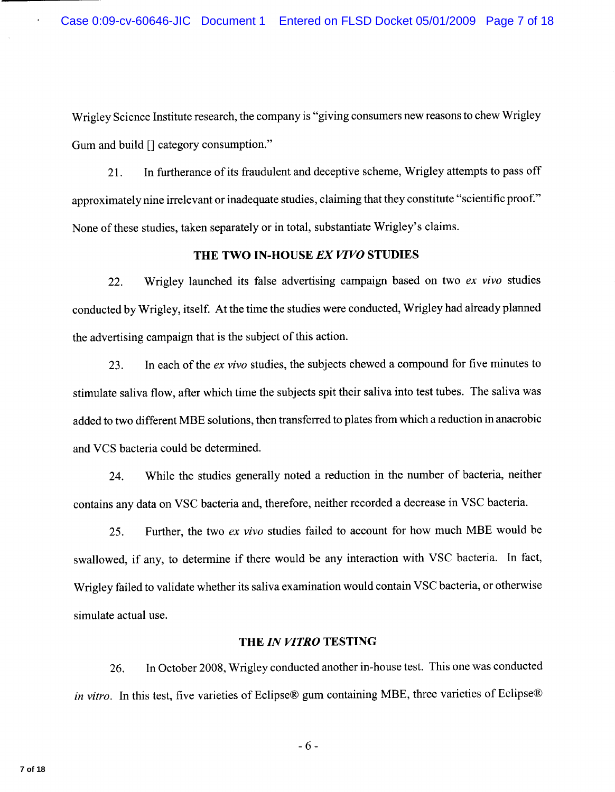Wrigley Science Institute research, the company is "giving consumers new reasons to chew Wrigley Gum and build [] category consumption."

In furtherance of its fraudulent and deceptive scheme, Wrigley attempts to pass off 21. approximately nine irrelevant or inadequate studies, claiming that they constitute "scientific proof." None of these studies, taken separately or in total, substantiate Wrigley's claims.

## THE TWO IN-HOUSE EX VIVO STUDIES

Wrigley launched its false advertising campaign based on two ex vivo studies 22. conducted by Wrigley, itself. At the time the studies were conducted, Wrigley had already planned the advertising campaign that is the subject of this action.

In each of the ex vivo studies, the subjects chewed a compound for five minutes to 23. stimulate saliva flow, after which time the subjects spit their saliva into test tubes. The saliva was added to two different MBE solutions, then transferred to plates from which a reduction in anaerobic and VCS bacteria could be determined.

While the studies generally noted a reduction in the number of bacteria, neither 24. contains any data on VSC bacteria and, therefore, neither recorded a decrease in VSC bacteria.

Further, the two ex vivo studies failed to account for how much MBE would be 25. swallowed, if any, to determine if there would be any interaction with VSC bacteria. In fact, Wrigley failed to validate whether its saliva examination would contain VSC bacteria, or otherwise simulate actual use.

#### THE IN VITRO TESTING

In October 2008, Wrigley conducted another in-house test. This one was conducted 26. in vitro. In this test, five varieties of Eclipse® gum containing MBE, three varieties of Eclipse®

 $-6-$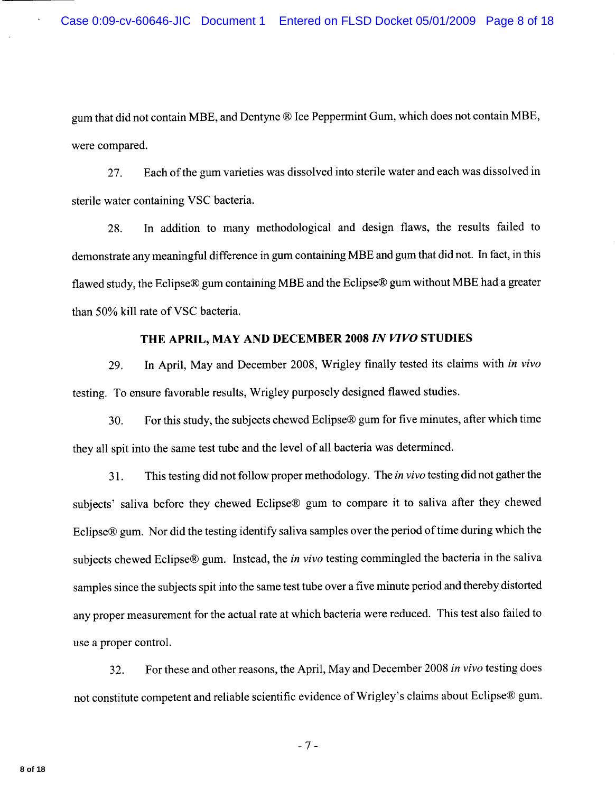gum that did not contain MBE, and Dentyne ® Ice Peppermint Gum, which does not contain MBE, were compared.

Each of the gum varieties was dissolved into sterile water and each was dissolved in 27. sterile water containing VSC bacteria.

In addition to many methodological and design flaws, the results failed to 28. demonstrate any meaningful difference in gum containing MBE and gum that did not. In fact, in this flawed study, the Eclipse® gum containing MBE and the Eclipse® gum without MBE had a greater than 50% kill rate of VSC bacteria.

# THE APRIL, MAY AND DECEMBER 2008 IN VIVO STUDIES

29. In April, May and December 2008, Wrigley finally tested its claims with in vivo testing. To ensure favorable results, Wrigley purposely designed flawed studies.

For this study, the subjects chewed Eclipse® gum for five minutes, after which time 30. they all spit into the same test tube and the level of all bacteria was determined.

This testing did not follow proper methodology. The *in vivo* testing did not gather the  $31.$ subjects' saliva before they chewed Eclipse® gum to compare it to saliva after they chewed Eclipse® gum. Nor did the testing identify saliva samples over the period of time during which the subjects chewed Eclipse® gum. Instead, the *in vivo* testing commingled the bacteria in the saliva samples since the subjects spit into the same test tube over a five minute period and thereby distorted any proper measurement for the actual rate at which bacteria were reduced. This test also failed to use a proper control.

For these and other reasons, the April, May and December 2008 in vivo testing does 32. not constitute competent and reliable scientific evidence of Wrigley's claims about Eclipse® gum.

 $-7-$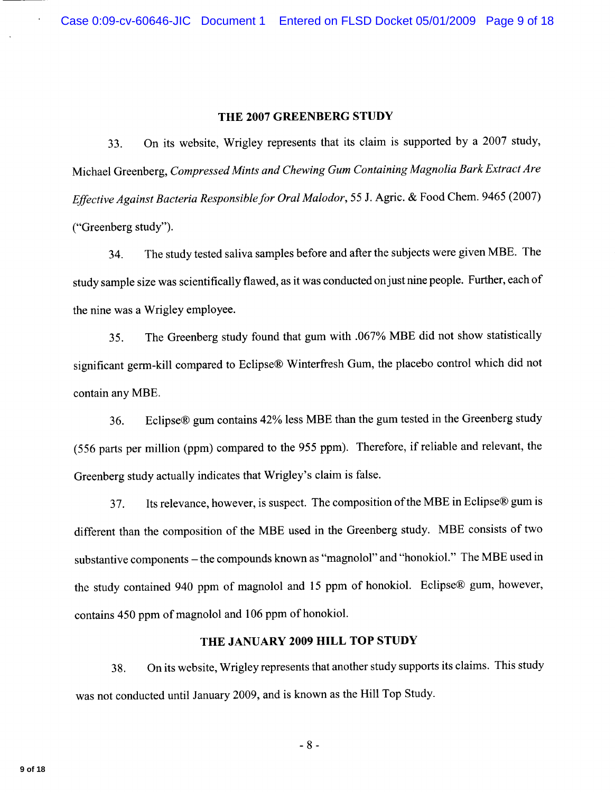#### THE 2007 GREENBERG STUDY

On its website, Wrigley represents that its claim is supported by a 2007 study, 33. Michael Greenberg, Compressed Mints and Chewing Gum Containing Magnolia Bark Extract Are Effective Against Bacteria Responsible for Oral Malodor, 55 J. Agric. & Food Chem. 9465 (2007) ("Greenberg study").

The study tested saliva samples before and after the subjects were given MBE. The 34. study sample size was scientifically flawed, as it was conducted on just nine people. Further, each of the nine was a Wrigley employee.

The Greenberg study found that gum with .067% MBE did not show statistically 35. significant germ-kill compared to Eclipse® Winterfresh Gum, the placebo control which did not contain any MBE.

Eclipse® gum contains 42% less MBE than the gum tested in the Greenberg study 36. (556 parts per million (ppm) compared to the 955 ppm). Therefore, if reliable and relevant, the Greenberg study actually indicates that Wrigley's claim is false.

Its relevance, however, is suspect. The composition of the MBE in Eclipse® gum is 37. different than the composition of the MBE used in the Greenberg study. MBE consists of two substantive components - the compounds known as "magnolol" and "honokiol." The MBE used in the study contained 940 ppm of magnolol and 15 ppm of honokiol. Eclipse® gum, however, contains 450 ppm of magnolol and 106 ppm of honokiol.

# THE JANUARY 2009 HILL TOP STUDY

On its website, Wrigley represents that another study supports its claims. This study 38. was not conducted until January 2009, and is known as the Hill Top Study.

 $-8-$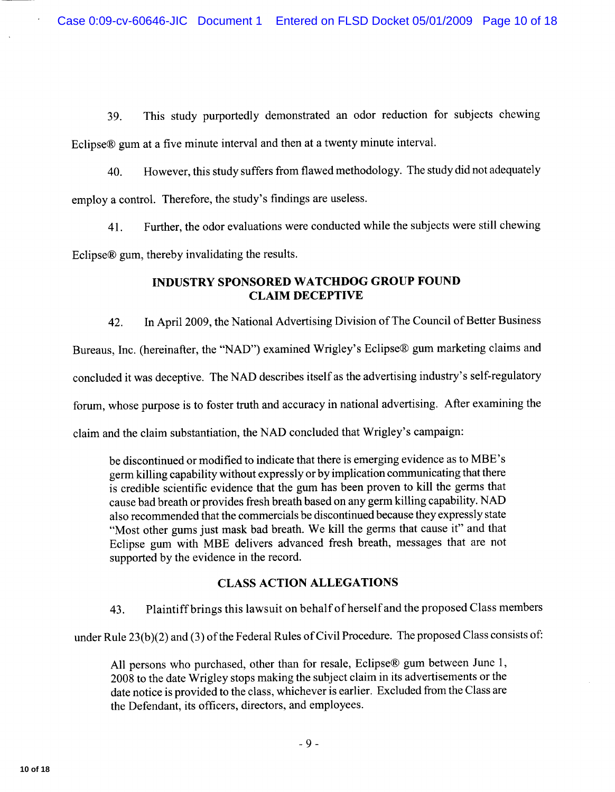This study purportedly demonstrated an odor reduction for subjects chewing 39. Eclipse® gum at a five minute interval and then at a twenty minute interval.

However, this study suffers from flawed methodology. The study did not adequately 40. employ a control. Therefore, the study's findings are useless.

Further, the odor evaluations were conducted while the subjects were still chewing 41. Eclipse® gum, thereby invalidating the results.

## **INDUSTRY SPONSORED WATCHDOG GROUP FOUND CLAIM DECEPTIVE**

In April 2009, the National Advertising Division of The Council of Better Business 42. Bureaus, Inc. (hereinafter, the "NAD") examined Wrigley's Eclipse® gum marketing claims and concluded it was deceptive. The NAD describes itself as the advertising industry's self-regulatory forum, whose purpose is to foster truth and accuracy in national advertising. After examining the claim and the claim substantiation, the NAD concluded that Wrigley's campaign:

be discontinued or modified to indicate that there is emerging evidence as to MBE's germ killing capability without expressly or by implication communicating that there is credible scientific evidence that the gum has been proven to kill the germs that cause bad breath or provides fresh breath based on any germ killing capability. NAD also recommended that the commercials be discontinued because they expressly state "Most other gums just mask bad breath. We kill the germs that cause it" and that Eclipse gum with MBE delivers advanced fresh breath, messages that are not supported by the evidence in the record.

# **CLASS ACTION ALLEGATIONS**

Plaintiff brings this lawsuit on behalf of herself and the proposed Class members 43.

under Rule 23(b)(2) and (3) of the Federal Rules of Civil Procedure. The proposed Class consists of:

All persons who purchased, other than for resale, Eclipse® gum between June 1,  $2008$  to the date Wrigley stops making the subject claim in its advertisements or the date notice is provided to the class, whichever is earlier. Excluded from the Class are the Defendant, its officers, directors, and employees.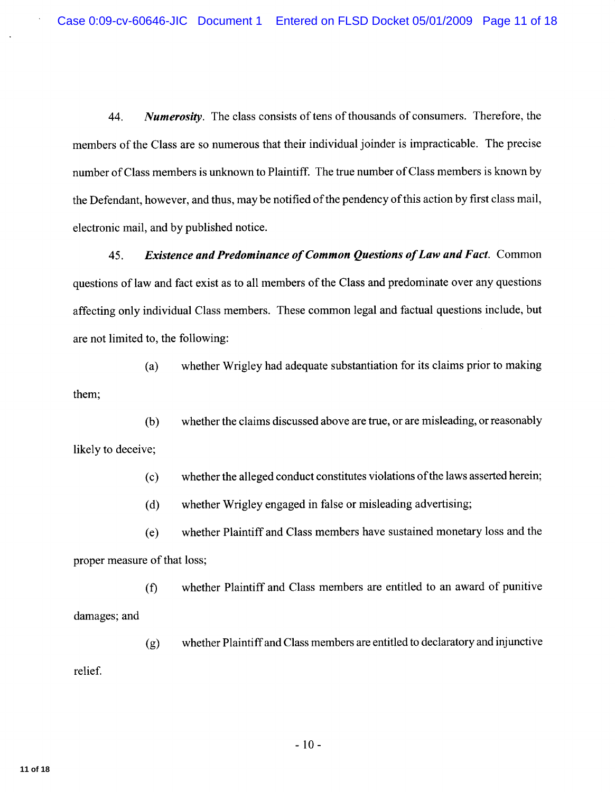**Numerosity.** The class consists of tens of thousands of consumers. Therefore, the 44. members of the Class are so numerous that their individual joinder is impracticable. The precise number of Class members is unknown to Plaintiff. The true number of Class members is known by the Defendant, however, and thus, may be notified of the pendency of this action by first class mail, electronic mail, and by published notice.

45. **Existence and Predominance of Common Questions of Law and Fact.** Common questions of law and fact exist as to all members of the Class and predominate over any questions affecting only individual Class members. These common legal and factual questions include, but are not limited to, the following:

whether Wrigley had adequate substantiation for its claims prior to making  $(a)$ them;

whether the claims discussed above are true, or are misleading, or reasonably  $(b)$ likely to deceive;

> whether the alleged conduct constitutes violations of the laws asserted herein;  $(c)$

whether Wrigley engaged in false or misleading advertising;  $(d)$ 

whether Plaintiff and Class members have sustained monetary loss and the  $(e)$ proper measure of that loss;

whether Plaintiff and Class members are entitled to an award of punitive  $(f)$ damages; and

whether Plaintiff and Class members are entitled to declaratory and injunctive  $(g)$ relief.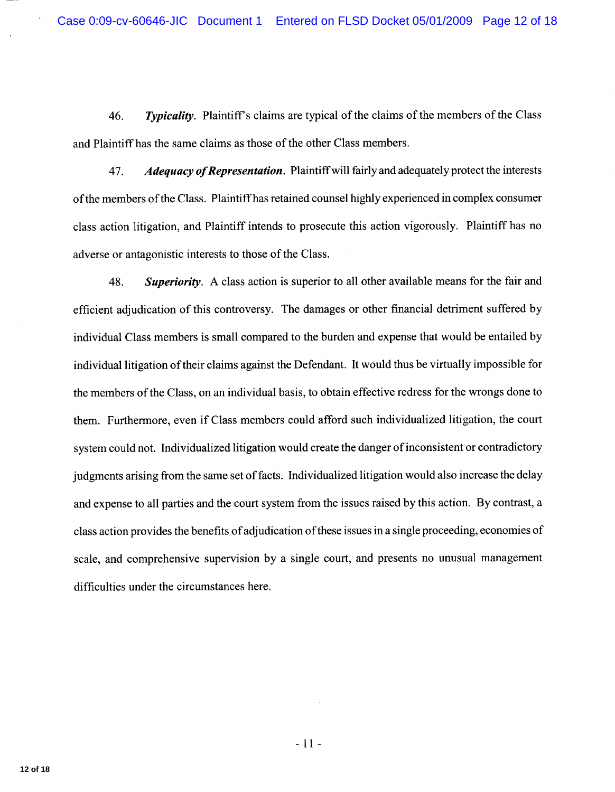46. **Typicality.** Plaintiff's claims are typical of the claims of the members of the Class and Plaintiff has the same claims as those of the other Class members.

47. Adequacy of Representation. Plaintiff will fairly and adequately protect the interests of the members of the Class. Plaintiff has retained counsel highly experienced in complex consumer class action litigation, and Plaintiff intends to prosecute this action vigorously. Plaintiff has no adverse or antagonistic interests to those of the Class.

**Superiority.** A class action is superior to all other available means for the fair and 48. efficient adjudication of this controversy. The damages or other financial detriment suffered by individual Class members is small compared to the burden and expense that would be entailed by individual litigation of their claims against the Defendant. It would thus be virtually impossible for the members of the Class, on an individual basis, to obtain effective redress for the wrongs done to them. Furthermore, even if Class members could afford such individualized litigation, the court system could not. Individualized litigation would create the danger of inconsistent or contradictory judgments arising from the same set of facts. Individualized litigation would also increase the delay and expense to all parties and the court system from the issues raised by this action. By contrast, a class action provides the benefits of adjudication of these issues in a single proceeding, economies of scale, and comprehensive supervision by a single court, and presents no unusual management difficulties under the circumstances here.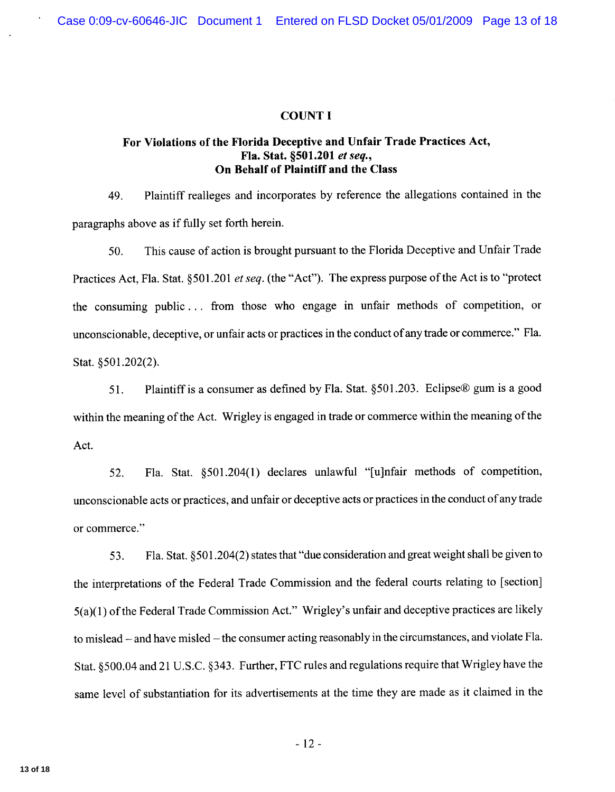### **COUNT I**

## For Violations of the Florida Deceptive and Unfair Trade Practices Act, Fla. Stat. §501.201 et seq., On Behalf of Plaintiff and the Class

Plaintiff realleges and incorporates by reference the allegations contained in the 49. paragraphs above as if fully set forth herein.

This cause of action is brought pursuant to the Florida Deceptive and Unfair Trade 50. Practices Act, Fla. Stat. §501.201 et seq. (the "Act"). The express purpose of the Act is to "protect" the consuming public... from those who engage in unfair methods of competition, or unconscionable, deceptive, or unfair acts or practices in the conduct of any trade or commerce." Fla. Stat. §501.202(2).

Plaintiff is a consumer as defined by Fla. Stat. §501.203. Eclipse® gum is a good 51. within the meaning of the Act. Wrigley is engaged in trade or commerce within the meaning of the Act.

Fla. Stat. §501.204(1) declares unlawful "[u]nfair methods of competition, 52. unconscionable acts or practices, and unfair or deceptive acts or practices in the conduct of any trade or commerce."

Fla. Stat. §501.204(2) states that "due consideration and great weight shall be given to 53. the interpretations of the Federal Trade Commission and the federal courts relating to [section]  $5(a)(1)$  of the Federal Trade Commission Act." Wrigley's unfair and deceptive practices are likely to mislead – and have misled – the consumer acting reasonably in the circumstances, and violate Fla. Stat. §500.04 and 21 U.S.C. §343. Further, FTC rules and regulations require that Wrigley have the same level of substantiation for its advertisements at the time they are made as it claimed in the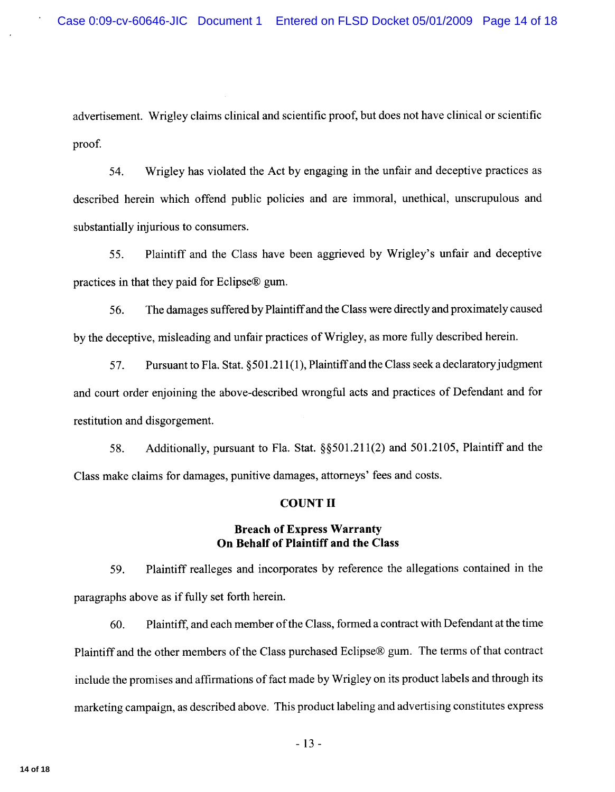advertisement. Wrigley claims clinical and scientific proof, but does not have clinical or scientific proof.

Wrigley has violated the Act by engaging in the unfair and deceptive practices as 54. described herein which offend public policies and are immoral, unethical, unscrupulous and substantially injurious to consumers.

Plaintiff and the Class have been aggrieved by Wrigley's unfair and deceptive 55. practices in that they paid for Eclipse® gum.

The damages suffered by Plaintiff and the Class were directly and proximately caused 56. by the deceptive, misleading and unfair practices of Wrigley, as more fully described herein.

57. Pursuant to Fla. Stat. §501.211(1), Plaintiff and the Class seek a declaratory judgment and court order enjoining the above-described wrongful acts and practices of Defendant and for restitution and disgorgement.

Additionally, pursuant to Fla. Stat. §§501.211(2) and 501.2105, Plaintiff and the 58. Class make claims for damages, punitive damages, attorneys' fees and costs.

### **COUNT II**

## **Breach of Express Warranty** On Behalf of Plaintiff and the Class

Plaintiff realleges and incorporates by reference the allegations contained in the 59. paragraphs above as if fully set forth herein.

Plaintiff, and each member of the Class, formed a contract with Defendant at the time 60. Plaintiff and the other members of the Class purchased Eclipse® gum. The terms of that contract include the promises and affirmations of fact made by Wrigley on its product labels and through its marketing campaign, as described above. This product labeling and advertising constitutes express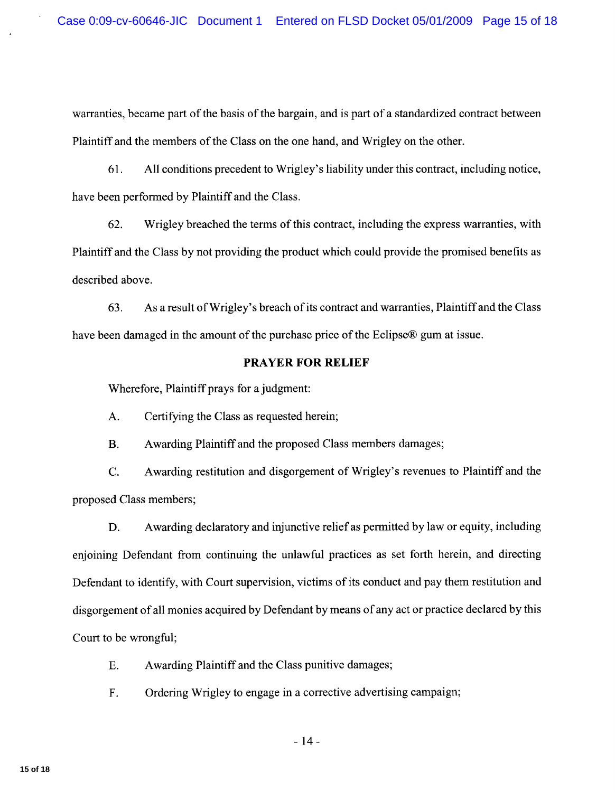warranties, became part of the basis of the bargain, and is part of a standardized contract between Plaintiff and the members of the Class on the one hand, and Wrigley on the other.

61. All conditions precedent to Wrigley's liability under this contract, including notice, have been performed by Plaintiff and the Class.

Wrigley breached the terms of this contract, including the express warranties, with 62. Plaintiff and the Class by not providing the product which could provide the promised benefits as described above.

As a result of Wrigley's breach of its contract and warranties, Plaintiff and the Class 63. have been damaged in the amount of the purchase price of the Eclipse® gum at issue.

### **PRAYER FOR RELIEF**

Wherefore, Plaintiff prays for a judgment:

Certifying the Class as requested herein;  $A.$ 

 $\mathbf{B}$ . Awarding Plaintiff and the proposed Class members damages;

C. Awarding restitution and disgorgement of Wrigley's revenues to Plaintiff and the proposed Class members;

D. Awarding declaratory and injunctive relief as permitted by law or equity, including enjoining Defendant from continuing the unlawful practices as set forth herein, and directing Defendant to identify, with Court supervision, victims of its conduct and pay them restitution and disgorgement of all monies acquired by Defendant by means of any act or practice declared by this Court to be wrongful;

- Awarding Plaintiff and the Class punitive damages; E.
- Ordering Wrigley to engage in a corrective advertising campaign; F.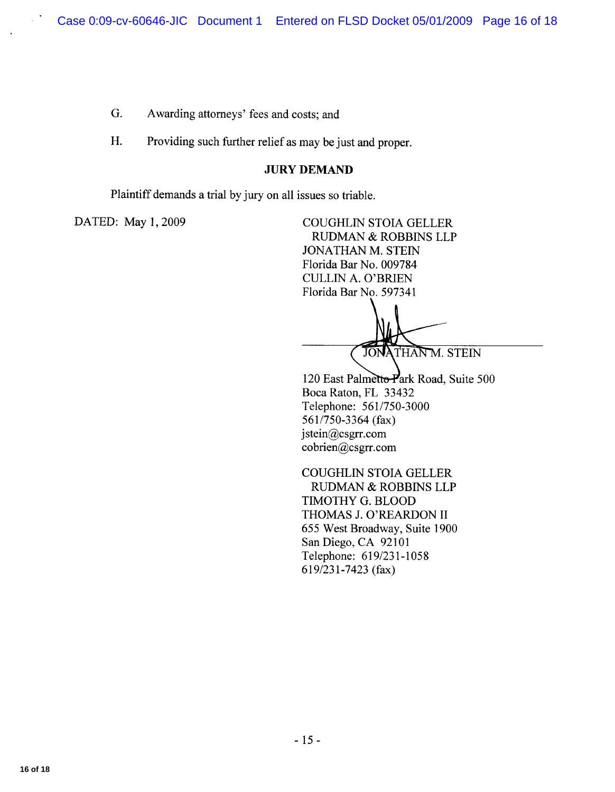G. Awarding attorneys' fees and costs; and

H. Providing such further relief as may be just and proper.

### **JURY DEMAND**

Plaintiff demands a trial by jury on all issues so triable.

DATED: May 1, 2009

**COUGHLIN STOIA GELLER** RUDMAN & ROBBINS LLP **JONATHAN M. STEIN** Florida Bar No. 009784 **CULLIN A. O'BRIEN** Florida Bar No. 597341

JONATHAN M. STEIN

120 East Palmetto-Park Road, Suite 500 Boca Raton, FL 33432 Telephone: 561/750-3000 561/750-3364 (fax) jstein@csgrr.com cobrien@csgrr.com

**COUGHLIN STOIA GELLER RUDMAN & ROBBINS LLP** TIMOTHY G. BLOOD THOMAS J. O'REARDON II 655 West Broadway, Suite 1900 San Diego, CA 92101 Telephone: 619/231-1058 619/231-7423 (fax)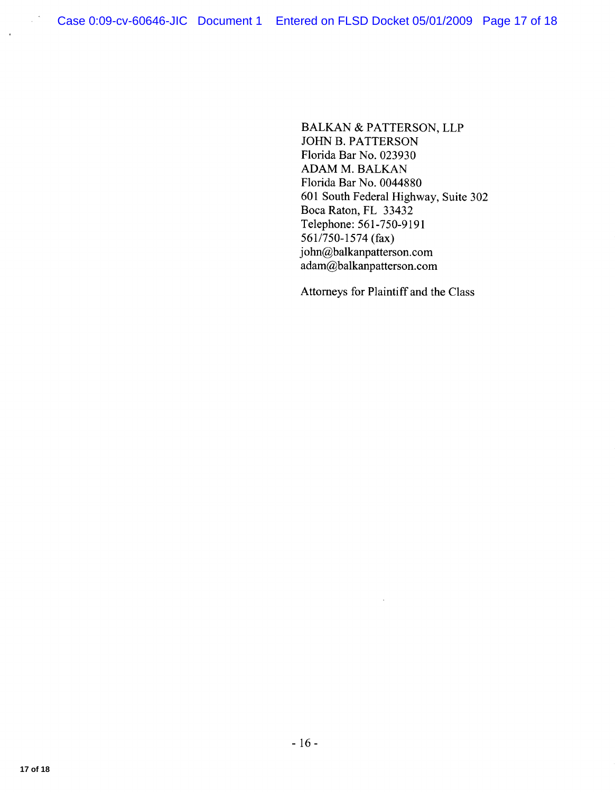**BALKAN & PATTERSON, LLP** JOHN B. PATTERSON Florida Bar No. 023930 **ADAM M. BALKAN** Florida Bar No. 0044880 601 South Federal Highway, Suite 302 Boca Raton, FL 33432<br>Telephone: 561-750-9191 561/750-1574 (fax) john@balkanpatterson.com adam@balkanpatterson.com

Attorneys for Plaintiff and the Class

 $\bar{z}$